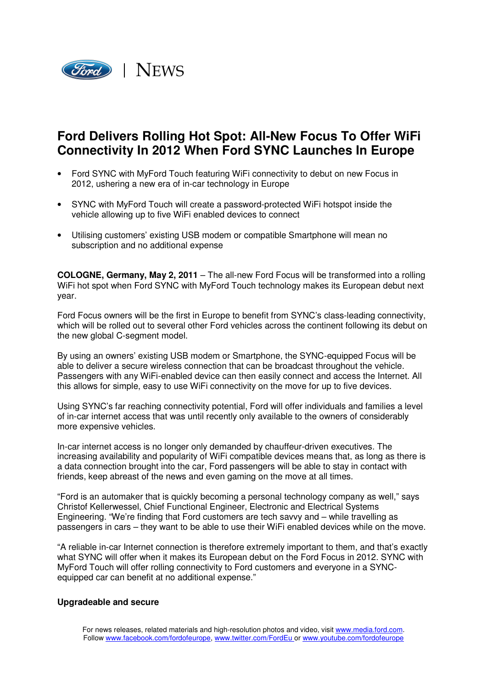

## **Ford Delivers Rolling Hot Spot: All-New Focus To Offer WiFi Connectivity In 2012 When Ford SYNC Launches In Europe**

- Ford SYNC with MyFord Touch featuring WiFi connectivity to debut on new Focus in 2012, ushering a new era of in-car technology in Europe
- SYNC with MyFord Touch will create a password-protected WiFi hotspot inside the vehicle allowing up to five WiFi enabled devices to connect
- Utilising customers' existing USB modem or compatible Smartphone will mean no subscription and no additional expense

**COLOGNE, Germany, May 2, 2011** – The all-new Ford Focus will be transformed into a rolling WiFi hot spot when Ford SYNC with MyFord Touch technology makes its European debut next year.

Ford Focus owners will be the first in Europe to benefit from SYNC's class-leading connectivity, which will be rolled out to several other Ford vehicles across the continent following its debut on the new global C-segment model.

By using an owners' existing USB modem or Smartphone, the SYNC-equipped Focus will be able to deliver a secure wireless connection that can be broadcast throughout the vehicle. Passengers with any WiFi-enabled device can then easily connect and access the Internet. All this allows for simple, easy to use WiFi connectivity on the move for up to five devices.

Using SYNC's far reaching connectivity potential, Ford will offer individuals and families a level of in-car internet access that was until recently only available to the owners of considerably more expensive vehicles.

In-car internet access is no longer only demanded by chauffeur-driven executives. The increasing availability and popularity of WiFi compatible devices means that, as long as there is a data connection brought into the car, Ford passengers will be able to stay in contact with friends, keep abreast of the news and even gaming on the move at all times.

"Ford is an automaker that is quickly becoming a personal technology company as well," says Christof Kellerwessel, Chief Functional Engineer, Electronic and Electrical Systems Engineering. "We're finding that Ford customers are tech savvy and – while travelling as passengers in cars – they want to be able to use their WiFi enabled devices while on the move.

"A reliable in-car Internet connection is therefore extremely important to them, and that's exactly what SYNC will offer when it makes its European debut on the Ford Focus in 2012. SYNC with MyFord Touch will offer rolling connectivity to Ford customers and everyone in a SYNCequipped car can benefit at no additional expense."

## **Upgradeable and secure**